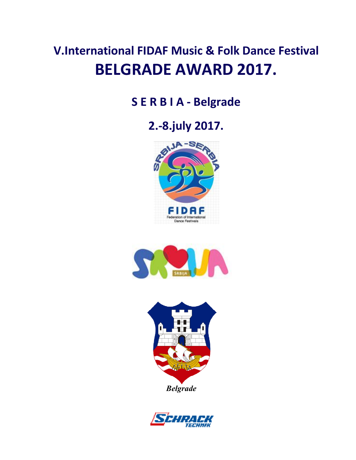# **V.International FIDAF Music & Folk Dance Festival BELGRADE AWARD 2017.**

## **S E R B I A - Belgrade**

## **2.-8.july 2017.**







*Belgrade*

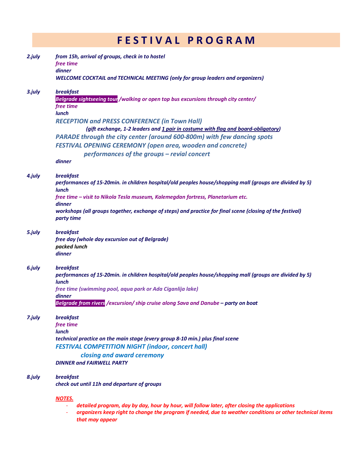### **F E S T I V A L P R O G R A M**

| 2. july | from 15h, arrival of groups, check in to hostel<br>free time<br>dinner                                                                                                                                                        |  |  |  |  |
|---------|-------------------------------------------------------------------------------------------------------------------------------------------------------------------------------------------------------------------------------|--|--|--|--|
|         | <b>WELCOME COCKTAIL and TECHNICAL MEETING (only for group leaders and organizers)</b>                                                                                                                                         |  |  |  |  |
| 3.july  | <b>breakfast</b><br>Belgrade sightseeing tour /walking or open top bus excursions through city center/<br>free time<br><b>lunch</b>                                                                                           |  |  |  |  |
|         | <b>RECEPTION and PRESS CONFERENCE (in Town Hall)</b><br>(gift exchange, 1-2 leaders and 1 pair in costume with flag and board-obligatory)                                                                                     |  |  |  |  |
|         | PARADE through the city center (around 600-800m) with few dancing spots<br><b>FESTIVAL OPENING CEREMONY (open area, wooden and concrete)</b><br>performances of the groups - revial concert<br>dinner                         |  |  |  |  |
|         |                                                                                                                                                                                                                               |  |  |  |  |
| 4.july  | <b>breakfast</b><br>performances of 15-20min. in children hospital/old peoples house/shopping mall (groups are divided by 5)<br>lunch                                                                                         |  |  |  |  |
|         | free time - visit to Nikola Tesla museum, Kalemegdan fortress, Planetarium etc.<br>dinner                                                                                                                                     |  |  |  |  |
|         | workshops (all groups together, exchange of steps) and practice for final scene (closing of the festival)<br>party time                                                                                                       |  |  |  |  |
| 5.july  | <b>breakfast</b><br>free day (whole day excursion out of Belgrade)<br>packed lunch<br>dinner                                                                                                                                  |  |  |  |  |
| 6.july  | <b>breakfast</b><br>performances of 15-20min. in children hospital/old peoples house/shopping mall (groups are divided by 5)<br><b>lunch</b>                                                                                  |  |  |  |  |
|         | free time (swimming pool, aqua park or Ada Ciganlija lake)                                                                                                                                                                    |  |  |  |  |
|         | dinner<br>Belgrade from rivers /excursion/ ship cruise along Sava and Danube – party on boat                                                                                                                                  |  |  |  |  |
| 7.july  | <b>breakfast</b><br>free time<br><b>lunch</b><br>technical practice on the main stage (every group 8-10 min.) plus final scene                                                                                                |  |  |  |  |
|         | <b>FESTIVAL COMPETITION NIGHT (indoor, concert hall)</b><br>closing and award ceremony                                                                                                                                        |  |  |  |  |
|         | <b>DINNER and FAIRWELL PARTY</b>                                                                                                                                                                                              |  |  |  |  |
| 8.july  | <b>breakfast</b><br>check out until 11h and departure of groups                                                                                                                                                               |  |  |  |  |
|         | <b>NOTES.</b>                                                                                                                                                                                                                 |  |  |  |  |
|         | detailed program, day by day, hour by hour, will follow later, after closing the applications<br>organizers keep right to change the program if needed, due to weather conditions or other technical items<br>that may appear |  |  |  |  |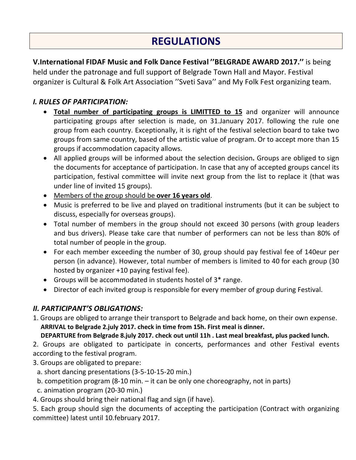### **REGULATIONS**

**V.International FIDAF Music and Folk Dance Festival ''BELGRADE AWARD 2017.''** is being

held under the patronage and full support of Belgrade Town Hall and Mayor. Festival organizer is Cultural & Folk Art Association ''Sveti Sava'' and My Folk Fest organizing team.

#### *I. RULES OF PARTICIPATION:*

- **Total number of participating groups is LIMITTED to 15** and organizer will announce participating groups after selection is made, on 31.January 2017. following the rule one group from each country. Exceptionally, it is right of the festival selection board to take two groups from same country, based of the artistic value of program. Or to accept more than 15 groups if accommodation capacity allows.
- All applied groups will be informed about the selection decision**.** Groups are obliged to sign the documents for acceptance of participation. In case that any of accepted groups cancel its participation, festival committee will invite next group from the list to replace it (that was under line of invited 15 groups).
- Members of the group should be **over 16 years old**.
- Music is preferred to be live and played on traditional instruments (but it can be subject to discuss, especially for overseas groups).
- Total number of members in the group should not exceed 30 persons (with group leaders and bus drivers). Please take care that number of performers can not be less than 80% of total number of people in the group.
- For each member exceeding the number of 30, group should pay festival fee of 140eur per person (in advance). However, total number of members is limited to 40 for each group (30 hosted by organizer +10 paying festival fee).
- Groups will be accommodated in students hostel of 3\* range.
- Director of each invited group is responsible for every member of group during Festival.

#### *II. PARTICIPANT'S OBLIGATIONS:*

1. Groups are obliged to arrange their transport to Belgrade and back home, on their own expense.  **ARRIVAL to Belgrade 2.july 2017. check in time from 15h. First meal is dinner.**

 **DEPARTURE from Belgrade 8.july 2017. check out until 11h . Last meal breakfast, plus packed lunch.**

2. Groups are obligated to participate in concerts, performances and other Festival events according to the festival program.

3. Groups are obligated to prepare:

- a. short dancing presentations (3-5-10-15-20 min.)
- b. competition program (8-10 min. it can be only one choreography, not in parts)
- c. animation program (20-30 min.)
- 4. Groups should bring their national flag and sign (if have).

5. Each group should sign the documents of accepting the participation (Contract with organizing committee) latest until 10.february 2017.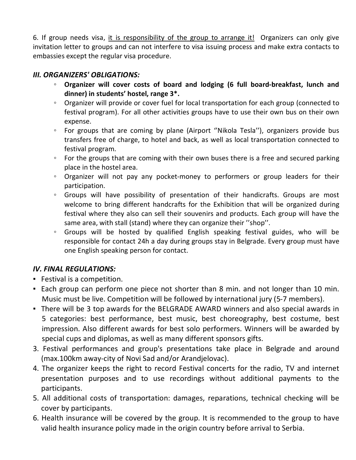6. If group needs visa, it is responsibility of the group to arrange it! Organizers can only give invitation letter to groups and can not interfere to visa issuing process and make extra contacts to embassies except the regular visa procedure.

#### *III. ORGANIZERS' OBLIGATIONS:*

- **Organizer will cover costs of board and lodging (6 full board-breakfast, lunch and dinner) in students' hostel, range 3\*.**
- Organizer will provide or cover fuel for local transportation for each group (connected to festival program). For all other activities groups have to use their own bus on their own expense.
- For groups that are coming by plane (Airport ''Nikola Tesla''), organizers provide bus transfers free of charge, to hotel and back, as well as local transportation connected to festival program.
- For the groups that are coming with their own buses there is a free and secured parking place in the hostel area.
- Organizer will not pay any pocket-money to performers or group leaders for their participation.
- Groups will have possibility of presentation of their handicrafts. Groups are most welcome to bring different handcrafts for the Exhibition that will be organized during festival where they also can sell their souvenirs and products. Each group will have the same area, with stall (stand) where they can organize their ''shop''.
- Groups will be hosted by qualified English speaking festival guides, who will be responsible for contact 24h a day during groups stay in Belgrade. Every group must have one English speaking person for contact.

#### *IV. FINAL REGULATIONS:*

- Festival is a competition.
- Each group can perform one piece not shorter than 8 min. and not longer than 10 min. Music must be live. Competition will be followed by international jury (5-7 members).
- There will be 3 top awards for the BELGRADE AWARD winners and also special awards in 5 categories: best performance, best music, best choreography, best costume, best impression. Also different awards for best solo performers. Winners will be awarded by special cups and diplomas, as well as many different sponsors gifts.
- 3. Festival performances and group's presentations take place in Belgrade and around (max.100km away-city of Novi Sad and/or Arandjelovac).
- 4. The organizer keeps the right to record Festival concerts for the radio, TV and internet presentation purposes and to use recordings without additional payments to the participants.
- 5. All additional costs of transportation: damages, reparations, technical checking will be cover by participants.
- 6. Health insurance will be covered by the group. It is recommended to the group to have valid health insurance policy made in the origin country before arrival to Serbia.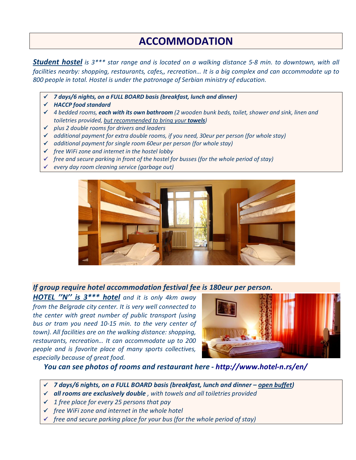### **ACCOMMODATION**

*Student hostel is 3\*\*\* star range and is located on a walking distance 5-8 min. to downtown, with all facilities nearby: shopping, restaurants, cafes,, recreation… It is a big complex and can accommodate up to 800 people in total. Hostel is under the patronage of Serbian ministry of education.*

- *7 days/6 nights, on a FULL BOARD basis (breakfast, lunch and dinner)*
- *HACCP food standard*
- *4 bedded rooms, each with its own bathroom (2 wooden bunk beds, toilet, shower and sink, linen and toiletries provided, but recommended to bring your towels)*
- *plus 2 double rooms for drivers and leaders*
- *additional payment for extra double rooms, if you need, 30eur per person (for whole stay)*
- *additional payment for single room 60eur per person (for whole stay)*
- *free WiFi zone and internet in the hostel lobby*
- *free and secure parking in front of the hostel for busses (for the whole period of stay)*
- *every day room cleaning service (garbage out)*



#### *If group require hotel accommodation festival fee is 180eur per person.*

*HOTEL ''N'' is 3\*\*\* hotel and it is only 4km away from the Belgrade city center. It is very well connected to the center with great number of public transport (using bus or tram you need 10-15 min. to the very center of town). All facilities are on the walking distance: shopping, restaurants, recreation… It can accommodate up to 200 people and is favorite place of many sports collectives, especially because of great food.* 



 *You can see photos of rooms and restaurant here - http://www.hotel-n.rs/en/*

- *7 days/6 nights, on a FULL BOARD basis (breakfast, lunch and dinner – open buffet)*
- *all rooms are exclusively double , with towels and all toiletries provided*
- *1 free place for every 25 persons that pay*
- *free WiFi zone and internet in the whole hotel*
- *free and secure parking place for your bus (for the whole period of stay)*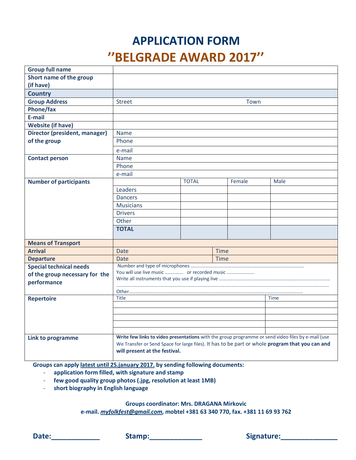## **APPLICATION FORM ''BELGRADE AWARD 2017''**

| <b>Group full name</b>         |                                                                                                                                                                                                                                        |              |        |             |  |
|--------------------------------|----------------------------------------------------------------------------------------------------------------------------------------------------------------------------------------------------------------------------------------|--------------|--------|-------------|--|
| Short name of the group        |                                                                                                                                                                                                                                        |              |        |             |  |
| (if have)                      |                                                                                                                                                                                                                                        |              |        |             |  |
| <b>Country</b>                 |                                                                                                                                                                                                                                        |              |        |             |  |
| <b>Group Address</b>           | Town<br><b>Street</b>                                                                                                                                                                                                                  |              |        |             |  |
| <b>Phone/fax</b>               |                                                                                                                                                                                                                                        |              |        |             |  |
| E-mail                         |                                                                                                                                                                                                                                        |              |        |             |  |
| <b>Website (if have)</b>       |                                                                                                                                                                                                                                        |              |        |             |  |
| Director (president, manager)  | <b>Name</b>                                                                                                                                                                                                                            |              |        |             |  |
| of the group                   | Phone                                                                                                                                                                                                                                  |              |        |             |  |
|                                | e-mail                                                                                                                                                                                                                                 |              |        |             |  |
| <b>Contact person</b>          | <b>Name</b>                                                                                                                                                                                                                            |              |        |             |  |
|                                | Phone                                                                                                                                                                                                                                  |              |        |             |  |
|                                | e-mail                                                                                                                                                                                                                                 |              |        |             |  |
| <b>Number of participants</b>  |                                                                                                                                                                                                                                        | <b>TOTAL</b> | Female | Male        |  |
|                                | Leaders                                                                                                                                                                                                                                |              |        |             |  |
|                                | <b>Dancers</b>                                                                                                                                                                                                                         |              |        |             |  |
|                                | <b>Musicians</b>                                                                                                                                                                                                                       |              |        |             |  |
|                                | <b>Drivers</b>                                                                                                                                                                                                                         |              |        |             |  |
|                                | Other                                                                                                                                                                                                                                  |              |        |             |  |
|                                | <b>TOTAL</b>                                                                                                                                                                                                                           |              |        |             |  |
| <b>Means of Transport</b>      |                                                                                                                                                                                                                                        |              |        |             |  |
| <b>Arrival</b>                 | <b>Date</b>                                                                                                                                                                                                                            |              | Time   |             |  |
| <b>Departure</b>               | <b>Date</b>                                                                                                                                                                                                                            |              | Time   |             |  |
| <b>Special technical needs</b> |                                                                                                                                                                                                                                        |              |        |             |  |
| of the group necessary for the | You will use live music  or recorded music                                                                                                                                                                                             |              |        |             |  |
| performance                    |                                                                                                                                                                                                                                        |              |        |             |  |
|                                |                                                                                                                                                                                                                                        |              |        |             |  |
| <b>Repertoire</b>              | <b>Title</b>                                                                                                                                                                                                                           |              |        | <b>Time</b> |  |
|                                |                                                                                                                                                                                                                                        |              |        |             |  |
|                                |                                                                                                                                                                                                                                        |              |        |             |  |
|                                |                                                                                                                                                                                                                                        |              |        |             |  |
|                                |                                                                                                                                                                                                                                        |              |        |             |  |
| Link to programme              | Write few links to video presentations with the group programme or send video files by e-mail (use<br>We Transfer or Send Space for large files). It has to be part or whole program that you can and<br>will present at the festival. |              |        |             |  |

**Groups can apply latest until 25.january 2017. by sending following documents:**

- **application form filled, with signature and stamp**
- **few good quality group photos (.jpg, resolution at least 1MB)**
- **short biography in English language**

**Groups coordinator: Mrs. DRAGANA Mirkovic**

**e-mail.** *myfolkfest@gmail.com***, mobtel +381 63 340 770, fax. +381 11 69 93 762**

**Date:\_\_\_\_\_\_\_\_\_\_\_\_ Stamp:\_\_\_\_\_\_\_\_\_\_\_\_\_ Signature:\_\_\_\_\_\_\_\_\_\_\_\_\_\_**